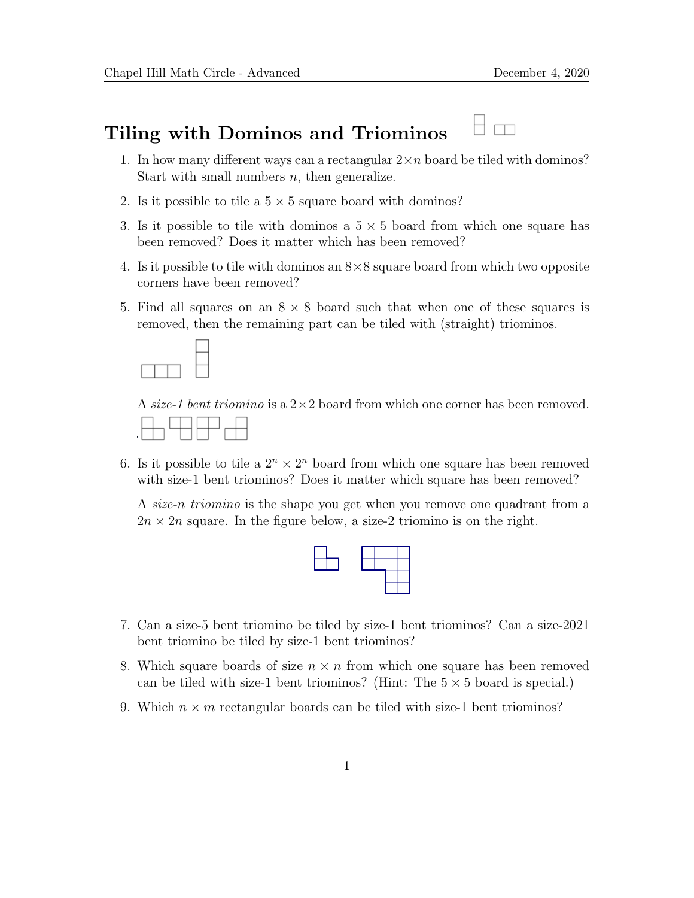## Tiling with Dominos and Triominos

- 1. In how many different ways can a rectangular  $2 \times n$  board be tiled with dominos? Start with small numbers  $n$ , then generalize.
- 2. Is it possible to tile a  $5 \times 5$  square board with dominos?
- 3. Is it possible to tile with dominos a  $5 \times 5$  board from which one square has been removed? Does it matter which has been removed?
- 4. Is it possible to tile with dominos an  $8\times 8$  square board from which two opposite corners have been removed?
- 5. Find all squares on an  $8 \times 8$  board such that when one of these squares is removed, then the remaining part can be tiled with (straight) triominos.



A size-1 bent triomino is a  $2\times 2$  board from which one corner has been removed.



6. Is it possible to tile a  $2^n \times 2^n$  board from which one square has been removed with size-1 bent triominos? Does it matter which square has been removed?

A size-n triomino is the shape you get when you remove one quadrant from a  $2n \times 2n$  square. In the figure below, a size-2 triomino is on the right.



- 7. Can a size-5 bent triomino be tiled by size-1 bent triominos? Can a size-2021 bent triomino be tiled by size-1 bent triominos?
- 8. Which square boards of size  $n \times n$  from which one square has been removed can be tiled with size-1 bent triominos? (Hint: The  $5 \times 5$  board is special.)
- 9. Which  $n \times m$  rectangular boards can be tiled with size-1 bent triominos?